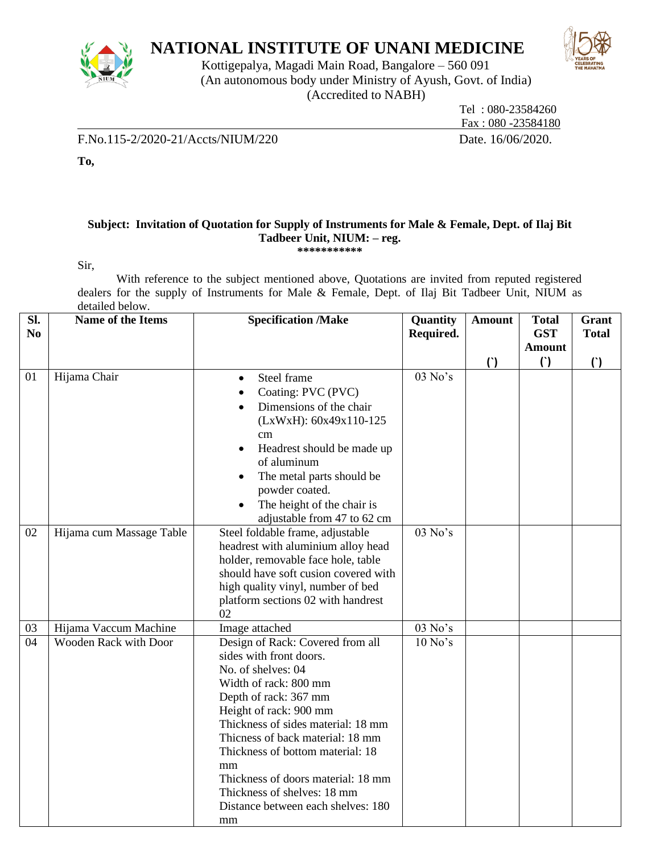

# **NATIONAL INSTITUTE OF UNANI MEDICINE**

Kottigepalya, Magadi Main Road, Bangalore – 560 091 (An autonomous body under Ministry of Ayush, Govt. of India) (Accredited to NABH)



 Tel : 080-23584260 Fax : 080 -23584180

F.No.115-2/2020-21/Accts/NIUM/220 Date. 16/06/2020.

**To,** 

### **Subject: Invitation of Quotation for Supply of Instruments for Male & Female, Dept. of Ilaj Bit Tadbeer Unit, NIUM: – reg. \*\*\*\*\*\*\*\*\*\*\***

Sir,

With reference to the subject mentioned above, Quotations are invited from reputed registered dealers for the supply of Instruments for Male & Female, Dept. of Ilaj Bit Tadbeer Unit, NIUM as detailed below.

| Sl.<br>N <sub>0</sub> | Name of the Items        | <b>Specification /Make</b>                                                                                                                                                                                                                                                                                                                                                                         | Quantity<br>Required. | <b>Amount</b> | <b>Total</b><br><b>GST</b> | Grant<br><b>Total</b>  |
|-----------------------|--------------------------|----------------------------------------------------------------------------------------------------------------------------------------------------------------------------------------------------------------------------------------------------------------------------------------------------------------------------------------------------------------------------------------------------|-----------------------|---------------|----------------------------|------------------------|
|                       |                          |                                                                                                                                                                                                                                                                                                                                                                                                    |                       |               | <b>Amount</b>              |                        |
|                       |                          |                                                                                                                                                                                                                                                                                                                                                                                                    |                       | (             | $\left( \cdot \right)$     | $\left( \cdot \right)$ |
| 01                    | Hijama Chair             | Steel frame<br>$\bullet$<br>Coating: PVC (PVC)<br>$\bullet$<br>Dimensions of the chair<br>$\bullet$<br>(LxWxH): 60x49x110-125<br>cm<br>Headrest should be made up<br>$\bullet$<br>of aluminum<br>The metal parts should be<br>$\bullet$<br>powder coated.<br>The height of the chair is<br>$\bullet$<br>adjustable from 47 to 62 cm                                                                | 03 No's               |               |                            |                        |
| 02                    | Hijama cum Massage Table | Steel foldable frame, adjustable<br>headrest with aluminium alloy head<br>holder, removable face hole, table<br>should have soft cusion covered with<br>high quality vinyl, number of bed<br>platform sections 02 with handrest<br>02                                                                                                                                                              | 03 No's               |               |                            |                        |
| 03                    | Hijama Vaccum Machine    | Image attached                                                                                                                                                                                                                                                                                                                                                                                     | 03 No's               |               |                            |                        |
| 04                    | Wooden Rack with Door    | Design of Rack: Covered from all<br>sides with front doors.<br>No. of shelves: 04<br>Width of rack: 800 mm<br>Depth of rack: 367 mm<br>Height of rack: 900 mm<br>Thickness of sides material: 18 mm<br>Thicness of back material: 18 mm<br>Thickness of bottom material: 18<br>mm<br>Thickness of doors material: 18 mm<br>Thickness of shelves: 18 mm<br>Distance between each shelves: 180<br>mm | $10$ No's             |               |                            |                        |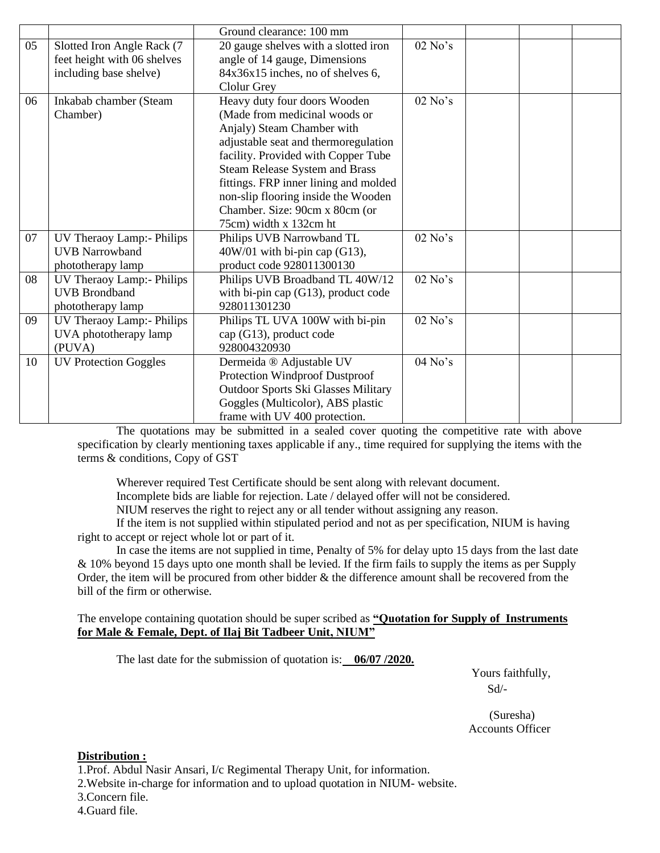|    |                              | Ground clearance: 100 mm                   |           |  |  |
|----|------------------------------|--------------------------------------------|-----------|--|--|
| 05 | Slotted Iron Angle Rack (7   | 20 gauge shelves with a slotted iron       | $02$ No's |  |  |
|    | feet height with 06 shelves  | angle of 14 gauge, Dimensions              |           |  |  |
|    | including base shelve)       | 84x36x15 inches, no of shelves 6,          |           |  |  |
|    |                              | <b>Clolur Grey</b>                         |           |  |  |
| 06 | Inkabab chamber (Steam       | Heavy duty four doors Wooden               | $02$ No's |  |  |
|    | Chamber)                     | (Made from medicinal woods or              |           |  |  |
|    |                              | Anjaly) Steam Chamber with                 |           |  |  |
|    |                              | adjustable seat and thermoregulation       |           |  |  |
|    |                              | facility. Provided with Copper Tube        |           |  |  |
|    |                              | Steam Release System and Brass             |           |  |  |
|    |                              | fittings. FRP inner lining and molded      |           |  |  |
|    |                              | non-slip flooring inside the Wooden        |           |  |  |
|    |                              | Chamber. Size: 90cm x 80cm (or             |           |  |  |
|    |                              | 75cm) width x 132cm ht                     |           |  |  |
| 07 | UV Theraoy Lamp:- Philips    | Philips UVB Narrowband TL                  | $02$ No's |  |  |
|    | <b>UVB</b> Narrowband        | $40W/01$ with bi-pin cap (G13),            |           |  |  |
|    | phototherapy lamp            | product code 928011300130                  |           |  |  |
| 08 | UV Theraoy Lamp:- Philips    | Philips UVB Broadband TL 40W/12            | $02$ No's |  |  |
|    | <b>UVB Brondband</b>         | with bi-pin cap $(G13)$ , product code     |           |  |  |
|    | phototherapy lamp            | 928011301230                               |           |  |  |
| 09 | UV Theraoy Lamp:- Philips    | Philips TL UVA 100W with bi-pin            | $02$ No's |  |  |
|    | UVA phototherapy lamp        | cap (G13), product code                    |           |  |  |
|    | (PUVA)                       | 928004320930                               |           |  |  |
| 10 | <b>UV Protection Goggles</b> | Dermeida ® Adjustable UV                   | $04$ No's |  |  |
|    |                              | Protection Windproof Dustproof             |           |  |  |
|    |                              | <b>Outdoor Sports Ski Glasses Military</b> |           |  |  |
|    |                              | Goggles (Multicolor), ABS plastic          |           |  |  |
|    |                              | frame with UV 400 protection.              |           |  |  |

The quotations may be submitted in a sealed cover quoting the competitive rate with above specification by clearly mentioning taxes applicable if any., time required for supplying the items with the terms & conditions, Copy of GST

Wherever required Test Certificate should be sent along with relevant document.

Incomplete bids are liable for rejection. Late / delayed offer will not be considered.

NIUM reserves the right to reject any or all tender without assigning any reason.

If the item is not supplied within stipulated period and not as per specification, NIUM is having right to accept or reject whole lot or part of it.

In case the items are not supplied in time, Penalty of 5% for delay upto 15 days from the last date & 10% beyond 15 days upto one month shall be levied. If the firm fails to supply the items as per Supply Order, the item will be procured from other bidder & the difference amount shall be recovered from the bill of the firm or otherwise.

## The envelope containing quotation should be super scribed as **"Quotation for Supply of Instruments for Male & Female, Dept. of Ilaj Bit Tadbeer Unit, NIUM"**

The last date for the submission of quotation is: **06/07 /2020.**

 Yours faithfully, Sd/-

 (Suresha) Accounts Officer

## **Distribution :**

1.Prof. Abdul Nasir Ansari, I/c Regimental Therapy Unit, for information.

2.Website in-charge for information and to upload quotation in NIUM- website.

3.Concern file.

#### 4.Guard file.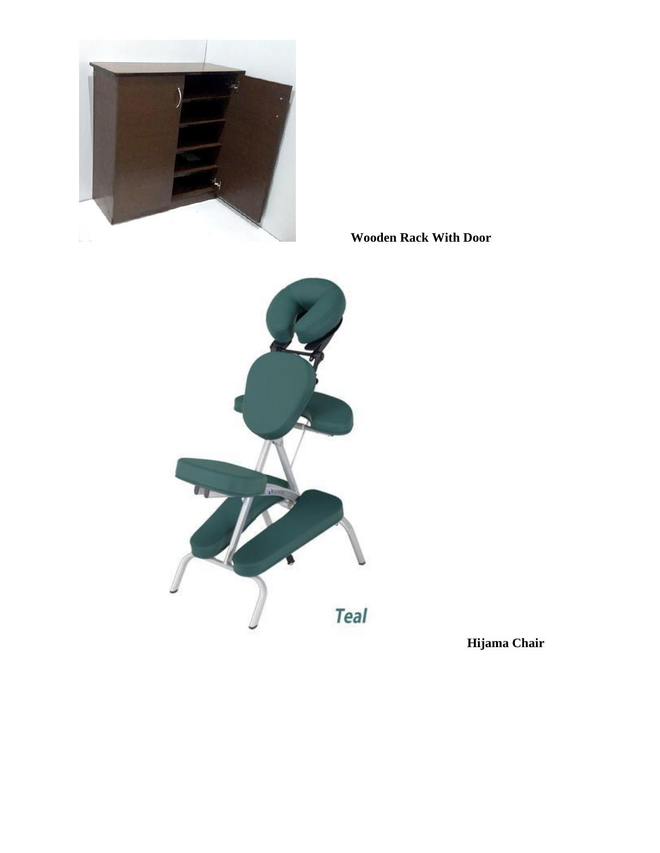

 **Wooden Rack With Door**



**Hijama Chair**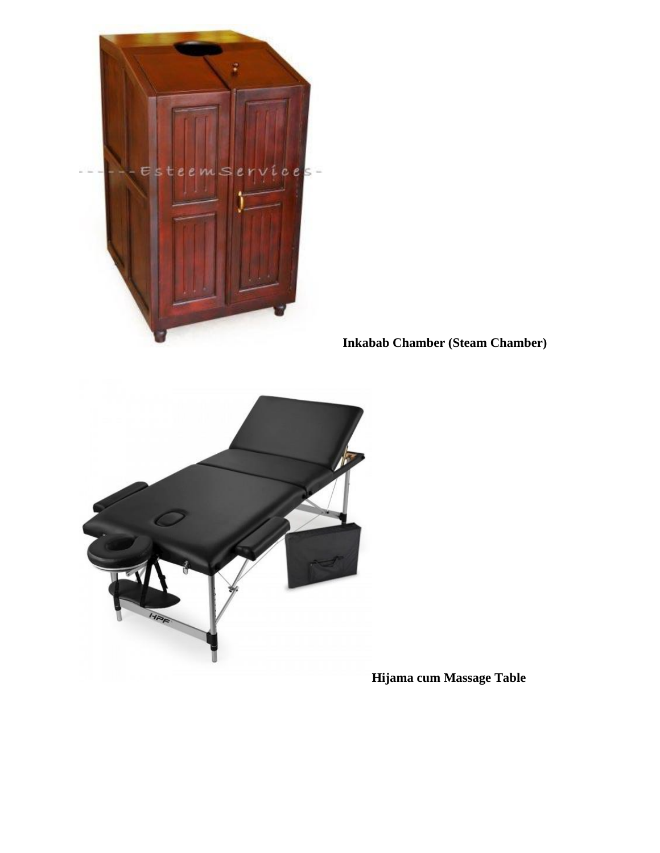

 **Inkabab Chamber (Steam Chamber)**



**Hijama cum Massage Table**